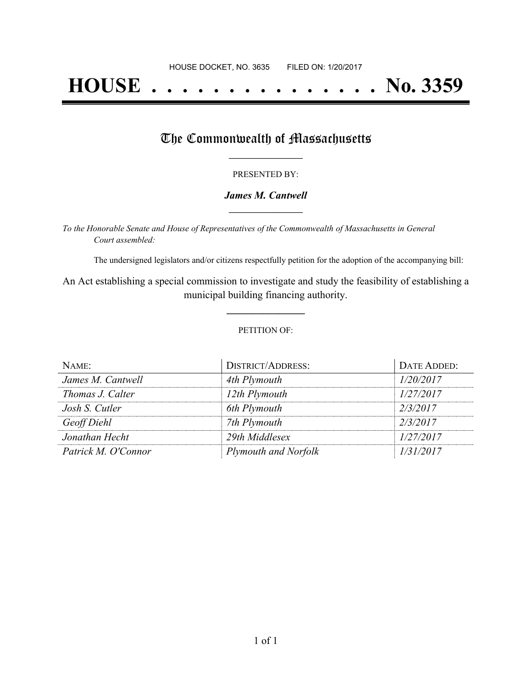# **HOUSE . . . . . . . . . . . . . . . No. 3359**

### The Commonwealth of Massachusetts

#### PRESENTED BY:

#### *James M. Cantwell* **\_\_\_\_\_\_\_\_\_\_\_\_\_\_\_\_\_**

*To the Honorable Senate and House of Representatives of the Commonwealth of Massachusetts in General Court assembled:*

The undersigned legislators and/or citizens respectfully petition for the adoption of the accompanying bill:

An Act establishing a special commission to investigate and study the feasibility of establishing a municipal building financing authority.

**\_\_\_\_\_\_\_\_\_\_\_\_\_\_\_**

#### PETITION OF:

| NAME:               | <b>DISTRICT/ADDRESS:</b> | DATE ADDED: |
|---------------------|--------------------------|-------------|
| James M. Cantwell   | 4th Plymouth             | 1/20/2017   |
| Thomas J. Calter    | 12th Plymouth            | 1/27/2017   |
| Josh S. Cutler      | 6th Plymouth             | 2/3/2017    |
| Geoff Diehl         | 7th Plymouth             | 2/3/2017    |
| Jonathan Hecht      | 29th Middlesex           | 1/27/2017   |
| Patrick M. O'Connor | Plymouth and Norfolk     | 1/31/2017   |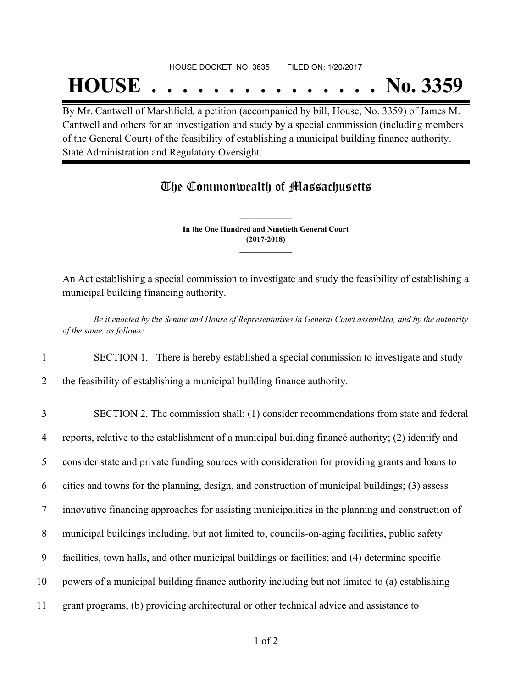#### HOUSE DOCKET, NO. 3635 FILED ON: 1/20/2017

## **HOUSE . . . . . . . . . . . . . . . No. 3359**

By Mr. Cantwell of Marshfield, a petition (accompanied by bill, House, No. 3359) of James M. Cantwell and others for an investigation and study by a special commission (including members of the General Court) of the feasibility of establishing a municipal building finance authority. State Administration and Regulatory Oversight.

## The Commonwealth of Massachusetts

**In the One Hundred and Ninetieth General Court (2017-2018) \_\_\_\_\_\_\_\_\_\_\_\_\_\_\_**

**\_\_\_\_\_\_\_\_\_\_\_\_\_\_\_**

An Act establishing a special commission to investigate and study the feasibility of establishing a municipal building financing authority.

Be it enacted by the Senate and House of Representatives in General Court assembled, and by the authority *of the same, as follows:*

1 SECTION 1. There is hereby established a special commission to investigate and study

2 the feasibility of establishing a municipal building finance authority.

 SECTION 2. The commission shall: (1) consider recommendations from state and federal reports, relative to the establishment of a municipal building financé authority; (2) identify and consider state and private funding sources with consideration for providing grants and loans to cities and towns for the planning, design, and construction of municipal buildings; (3) assess innovative financing approaches for assisting municipalities in the planning and construction of municipal buildings including, but not limited to, councils-on-aging facilities, public safety facilities, town halls, and other municipal buildings or facilities; and (4) determine specific powers of a municipal building finance authority including but not limited to (a) establishing grant programs, (b) providing architectural or other technical advice and assistance to